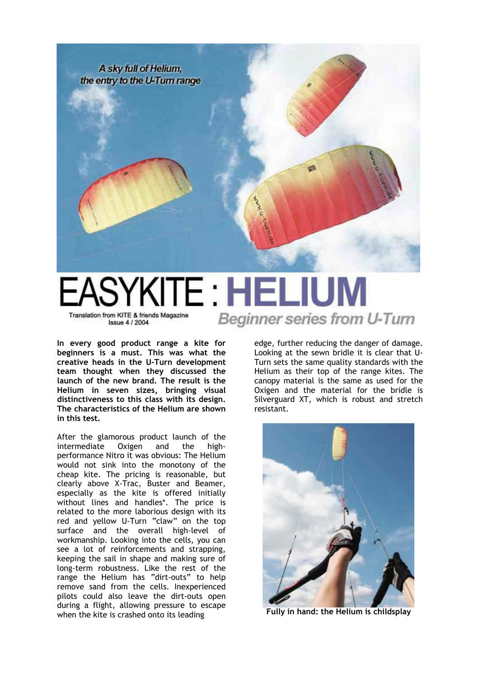

## SYKITE : HELIUM Beginner series from U-Turn Translation from KITE & friends Magazine **Issue 4/2004**

**In every good product range a kite for beginners is a must. This was what the creative heads in the U-Turn development team thought when they discussed the launch of the new brand. The result is the Helium in seven sizes, bringing visual distinctiveness to this class with its design. The characteristics of the Helium are shown in this test.** 

After the glamorous product launch of the intermediate Oxigen and the highperformance Nitro it was obvious: The Helium would not sink into the monotony of the cheap kite. The pricing is reasonable, but clearly above X-Trac, Buster and Beamer, especially as the kite is offered initially without lines and handles\*. The price is related to the more laborious design with its red and yellow U-Turn "claw" on the top surface and the overall high-level of workmanship. Looking into the cells, you can see a lot of reinforcements and strapping, keeping the sail in shape and making sure of long-term robustness. Like the rest of the range the Helium has "dirt-outs" to help remove sand from the cells. Inexperienced pilots could also leave the dirt-outs open during a flight, allowing pressure to escape when the kite is crashed onto its leading

edge, further reducing the danger of damage. Looking at the sewn bridle it is clear that U-Turn sets the same quality standards with the Helium as their top of the range kites. The canopy material is the same as used for the Oxigen and the material for the bridle is Silverguard XT, which is robust and stretch resistant.



**Fully in hand: the Helium is childsplay**